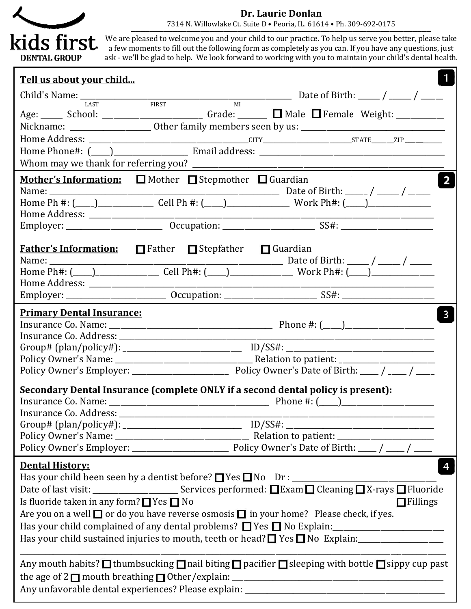

## Dr. Laurie Donlan

7314 N. Willowlake Ct. Suite D • Peoria, IL. 61614 • Ph. 309 7314 N. 309-692-0175 ▬▬▬▬▬▬▬▬▬▬▬▬▬▬▬▬▬▬▬▬▬▬▬▬▬▬▬▬▬▬▬▬▬▬▬▬▬▬▬▬▬▬▬▬▬▬▬▬▬▬▬▬▬▬▬▬▬▬▬▬▬▬▬▬▬

We are pleased to welcome you and your child to our practice. To help us serve you better, please take a few moments to fill out the following form as completely as you can. If you have any questions, just We are pleased to welcome you and your child to our practice. To help us serve you better, please take<br>a few moments to fill out the following form as completely as you can. If you have any questions, just<br>ask - we'll be g

| Tell us about your child                                                                                                                                  |  |  |                  |                         |  |  |
|-----------------------------------------------------------------------------------------------------------------------------------------------------------|--|--|------------------|-------------------------|--|--|
|                                                                                                                                                           |  |  |                  |                         |  |  |
| Age: ______ School: ____________________________ Grade: ________ $\Box$ Male $\Box$ Female Weight: ___________                                            |  |  |                  |                         |  |  |
| Nickname: _______________________ Other family members seen by us: _________________________________                                                      |  |  |                  |                         |  |  |
|                                                                                                                                                           |  |  |                  |                         |  |  |
|                                                                                                                                                           |  |  |                  |                         |  |  |
|                                                                                                                                                           |  |  |                  |                         |  |  |
| <b>Mother's Information:</b> $\Box$ Mother $\Box$ Stepmother $\Box$ Guardian                                                                              |  |  |                  | $\overline{\mathbf{2}}$ |  |  |
|                                                                                                                                                           |  |  |                  |                         |  |  |
|                                                                                                                                                           |  |  |                  |                         |  |  |
|                                                                                                                                                           |  |  |                  |                         |  |  |
|                                                                                                                                                           |  |  |                  |                         |  |  |
| <b>Father's Information:</b> $\Box$ Father $\Box$ Stepfather $\Box$ Guardian                                                                              |  |  |                  |                         |  |  |
|                                                                                                                                                           |  |  |                  |                         |  |  |
|                                                                                                                                                           |  |  |                  |                         |  |  |
|                                                                                                                                                           |  |  |                  |                         |  |  |
| <b>Primary Dental Insurance:</b>                                                                                                                          |  |  |                  | $\mathbf{3}$            |  |  |
|                                                                                                                                                           |  |  |                  |                         |  |  |
|                                                                                                                                                           |  |  |                  |                         |  |  |
|                                                                                                                                                           |  |  |                  |                         |  |  |
|                                                                                                                                                           |  |  |                  |                         |  |  |
| Secondary Dental Insurance (complete ONLY if a second dental policy is present):                                                                          |  |  |                  |                         |  |  |
|                                                                                                                                                           |  |  | Phone $\#$ : $($ |                         |  |  |
| <b>Insurance Co. Address:</b>                                                                                                                             |  |  |                  |                         |  |  |
|                                                                                                                                                           |  |  |                  |                         |  |  |
|                                                                                                                                                           |  |  |                  |                         |  |  |
|                                                                                                                                                           |  |  |                  |                         |  |  |
| <b>Dental History:</b>                                                                                                                                    |  |  |                  |                         |  |  |
|                                                                                                                                                           |  |  |                  |                         |  |  |
|                                                                                                                                                           |  |  |                  | $\Box$ Fillings         |  |  |
| Is fluoride taken in any form? $\Box$ Yes $\Box$ No<br>Are you on a well $\Box$ or do you have reverse osmosis $\Box$ in your home? Please check, if yes. |  |  |                  |                         |  |  |
|                                                                                                                                                           |  |  |                  |                         |  |  |
| Has your child sustained injuries to mouth, teeth or head? $\Box$ Yes $\Box$ No Explain:                                                                  |  |  |                  |                         |  |  |
|                                                                                                                                                           |  |  |                  |                         |  |  |
| Any mouth habits? $\Box$ thumbsucking $\Box$ nail biting $\Box$ pacifier $\Box$ sleeping with bottle $\Box$ sippy cup past                                |  |  |                  |                         |  |  |
|                                                                                                                                                           |  |  |                  |                         |  |  |
|                                                                                                                                                           |  |  |                  |                         |  |  |
|                                                                                                                                                           |  |  |                  |                         |  |  |